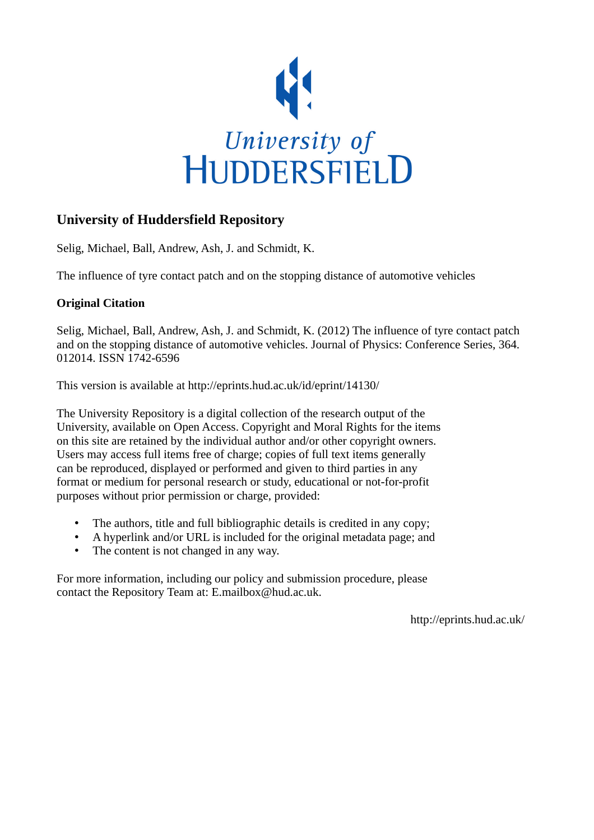

## **University of Huddersfield Repository**

Selig, Michael, Ball, Andrew, Ash, J. and Schmidt, K.

The influence of tyre contact patch and on the stopping distance of automotive vehicles

## **Original Citation**

Selig, Michael, Ball, Andrew, Ash, J. and Schmidt, K. (2012) The influence of tyre contact patch and on the stopping distance of automotive vehicles. Journal of Physics: Conference Series, 364. 012014. ISSN 1742-6596

This version is available at http://eprints.hud.ac.uk/id/eprint/14130/

The University Repository is a digital collection of the research output of the University, available on Open Access. Copyright and Moral Rights for the items on this site are retained by the individual author and/or other copyright owners. Users may access full items free of charge; copies of full text items generally can be reproduced, displayed or performed and given to third parties in any format or medium for personal research or study, educational or not-for-profit purposes without prior permission or charge, provided:

- The authors, title and full bibliographic details is credited in any copy;
- A hyperlink and/or URL is included for the original metadata page; and
- The content is not changed in any way.

For more information, including our policy and submission procedure, please contact the Repository Team at: E.mailbox@hud.ac.uk.

http://eprints.hud.ac.uk/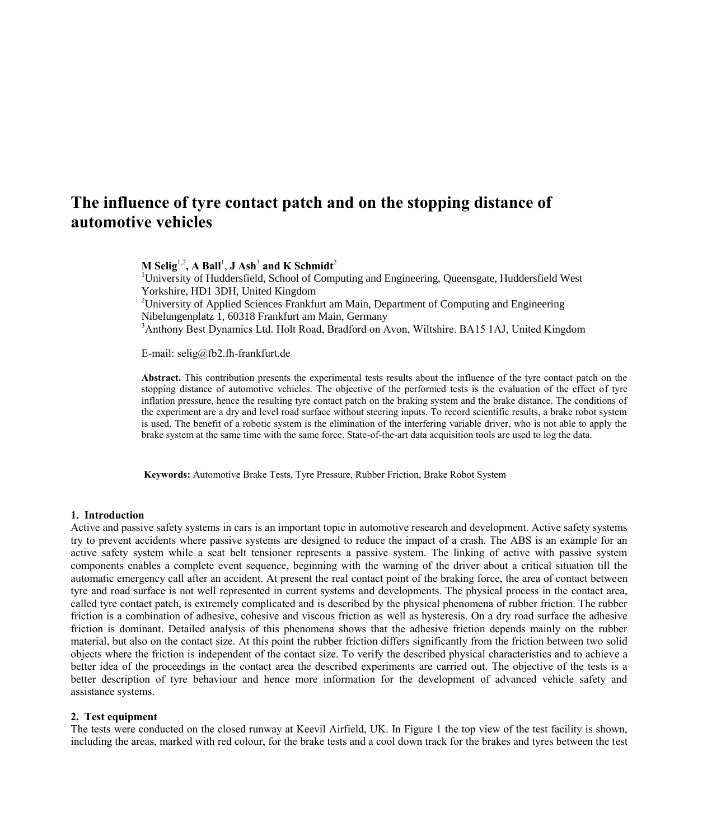# **The influence of tyre contact patch and on the stopping distance of automotive vehicles**

 $M$  Selig<sup>1,2</sup>, A Ball<sup>1</sup>, J Ash<sup>3</sup> and K Schmidt<sup>2</sup>

<sup>1</sup>University of Huddersfield, School of Computing and Engineering, Queensgate, Huddersfield West Yorkshire, HD1 3DH, United Kingdom <sup>2</sup>University of Applied Sciences Frankfurt am Main, Department of Computing and Engineering Nibelungenplatz 1, 60318 Frankfurt am Main, Germany <sup>3</sup>Anthony Best Dynamics Ltd. Holt Road, Bradford on Avon, Wiltshire. BA15 1AJ, United Kingdom

E-mail: selig@fb2.fh-frankfurt.de

**Abstract.** This contribution presents the experimental tests results about the influence of the tyre contact patch on the stopping distance of automotive vehicles. The objective of the performed tests is the evaluation of the effect of tyre inflation pressure, hence the resulting tyre contact patch on the braking system and the brake distance. The conditions of the experiment are a dry and level road surface without steering inputs. To record scientific results, a brake robot system is used. The benefit of a robotic system is the elimination of the interfering variable driver, who is not able to apply the brake system at the same time with the same force. State-of-the-art data acquisition tools are used to log the data.

**Keywords:** Automotive Brake Tests, Tyre Pressure, Rubber Friction, Brake Robot System

#### **1. Introduction**

Active and passive safety systems in cars is an important topic in automotive research and development. Active safety systems try to prevent accidents where passive systems are designed to reduce the impact of a crash. The ABS is an example for an active safety system while a seat belt tensioner represents a passive system. The linking of active with passive system components enables a complete event sequence, beginning with the warning of the driver about a critical situation till the automatic emergency call after an accident. At present the real contact point of the braking force, the area of contact between tyre and road surface is not well represented in current systems and developments. The physical process in the contact area, called tyre contact patch, is extremely complicated and is described by the physical phenomena of rubber friction. The rubber friction is a combination of adhesive, cohesive and viscous friction as well as hysteresis. On a dry road surface the adhesive friction is dominant. Detailed analysis of this phenomena shows that the adhesive friction depends mainly on the rubber material, but also on the contact size. At this point the rubber friction differs significantly from the friction between two solid objects where the friction is independent of the contact size. To verify the described physical characteristics and to achieve a better idea of the proceedings in the contact area the described experiments are carried out. The objective of the tests is a better description of tyre behaviour and hence more information for the development of advanced vehicle safety and assistance systems.

#### **2. Test equipment**

The tests were conducted on the closed runway at Keevil Airfield, UK. In Figure 1 the top view of the test facility is shown, including the areas, marked with red colour, for the brake tests and a cool down track for the brakes and tyres between the test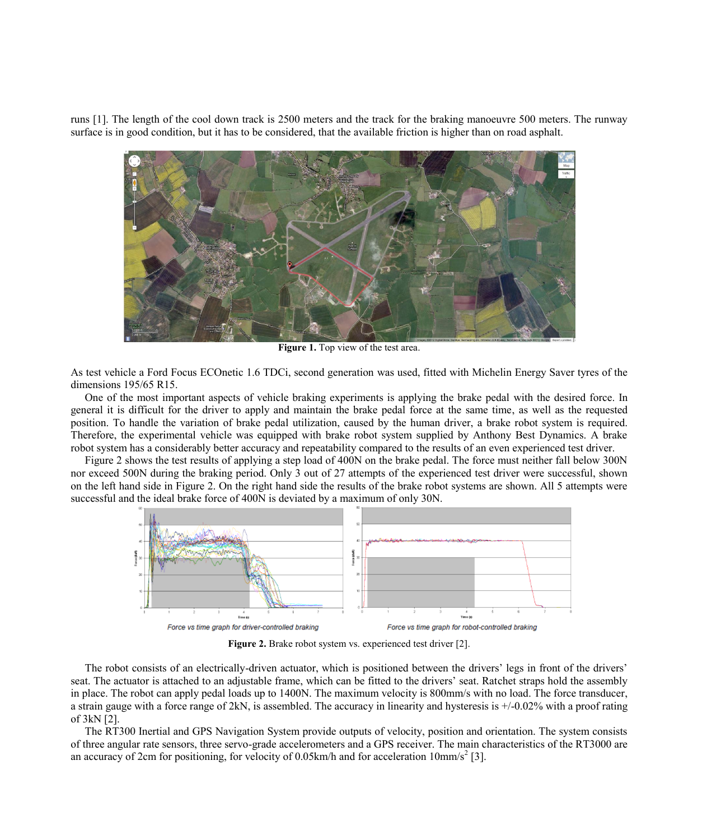runs [1]. The length of the cool down track is 2500 meters and the track for the braking manoeuvre 500 meters. The runway surface is in good condition, but it has to be considered, that the available friction is higher than on road asphalt.



**Figure 1.** Top view of the test area.

As test vehicle a Ford Focus ECOnetic 1.6 TDCi, second generation was used, fitted with Michelin Energy Saver tyres of the dimensions 195/65 R15.

One of the most important aspects of vehicle braking experiments is applying the brake pedal with the desired force. In general it is difficult for the driver to apply and maintain the brake pedal force at the same time, as well as the requested position. To handle the variation of brake pedal utilization, caused by the human driver, a brake robot system is required. Therefore, the experimental vehicle was equipped with brake robot system supplied by Anthony Best Dynamics. A brake robot system has a considerably better accuracy and repeatability compared to the results of an even experienced test driver.

Figure 2 shows the test results of applying a step load of 400N on the brake pedal. The force must neither fall below 300N nor exceed 500N during the braking period. Only 3 out of 27 attempts of the experienced test driver were successful, shown on the left hand side in Figure 2. On the right hand side the results of the brake robot systems are shown. All 5 attempts were successful and the ideal brake force of 400N is deviated by a maximum of only 30N.



**Figure 2.** Brake robot system vs. experienced test driver [2].

The robot consists of an electrically-driven actuator, which is positioned between the drivers' legs in front of the drivers' seat. The actuator is attached to an adjustable frame, which can be fitted to the drivers' seat. Ratchet straps hold the assembly in place. The robot can apply pedal loads up to 1400N. The maximum velocity is 800mm/s with no load. The force transducer, a strain gauge with a force range of 2kN, is assembled. The accuracy in linearity and hysteresis is +/-0.02% with a proof rating of 3kN [2].

The RT300 Inertial and GPS Navigation System provide outputs of velocity, position and orientation. The system consists of three angular rate sensors, three servo-grade accelerometers and a GPS receiver. The main characteristics of the RT3000 are an accuracy of 2cm for positioning, for velocity of 0.05km/h and for acceleration  $10 \text{mm/s}^2$  [3].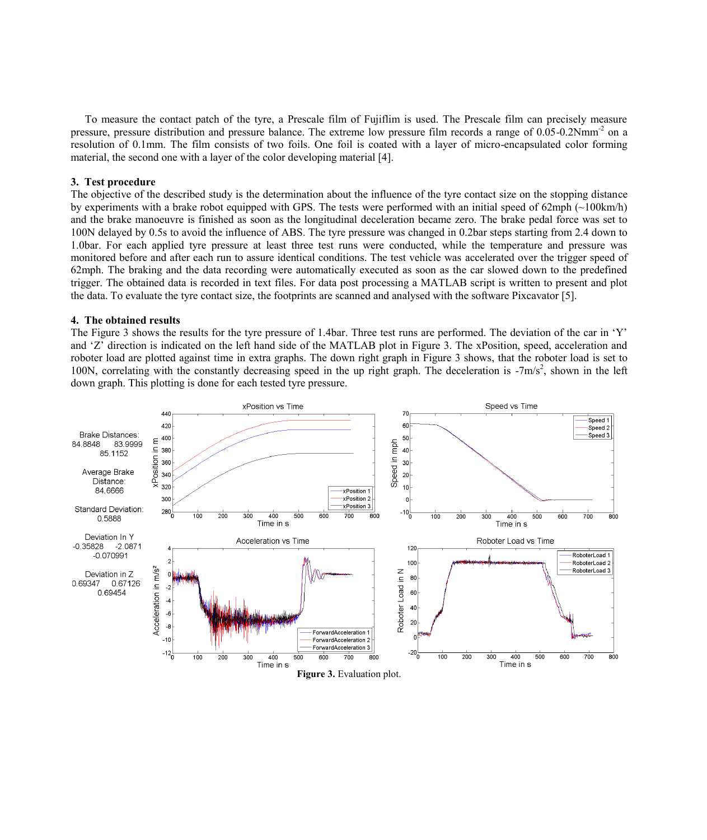To measure the contact patch of the tyre, a Prescale film of Fujiflim is used. The Prescale film can precisely measure pressure, pressure distribution and pressure balance. The extreme low pressure film records a range of 0.05-0.2Nmm<sup>-2</sup> on a resolution of 0.1mm. The film consists of two foils. One foil is coated with a layer of micro-encapsulated color forming material, the second one with a layer of the color developing material [4].

#### **3. Test procedure**

The objective of the described study is the determination about the influence of the tyre contact size on the stopping distance by experiments with a brake robot equipped with GPS. The tests were performed with an initial speed of 62mph  $(\sim 100 \text{km/h})$ and the brake manoeuvre is finished as soon as the longitudinal deceleration became zero. The brake pedal force was set to 100N delayed by 0.5s to avoid the influence of ABS. The tyre pressure was changed in 0.2bar steps starting from 2.4 down to 1.0bar. For each applied tyre pressure at least three test runs were conducted, while the temperature and pressure was monitored before and after each run to assure identical conditions. The test vehicle was accelerated over the trigger speed of 62mph. The braking and the data recording were automatically executed as soon as the car slowed down to the predefined trigger. The obtained data is recorded in text files. For data post processing a MATLAB script is written to present and plot the data. To evaluate the tyre contact size, the footprints are scanned and analysed with the software Pixcavator [5].

#### **4. The obtained results**

The Figure 3 shows the results for the tyre pressure of 1.4bar. Three test runs are performed. The deviation of the car in 'Y' and 'Z' direction is indicated on the left hand side of the MATLAB plot in Figure 3. The xPosition, speed, acceleration and roboter load are plotted against time in extra graphs. The down right graph in Figure 3 shows, that the roboter load is set to 100N, correlating with the constantly decreasing speed in the up right graph. The deceleration is  $-7m/s^2$ , shown in the left down graph. This plotting is done for each tested tyre pressure.

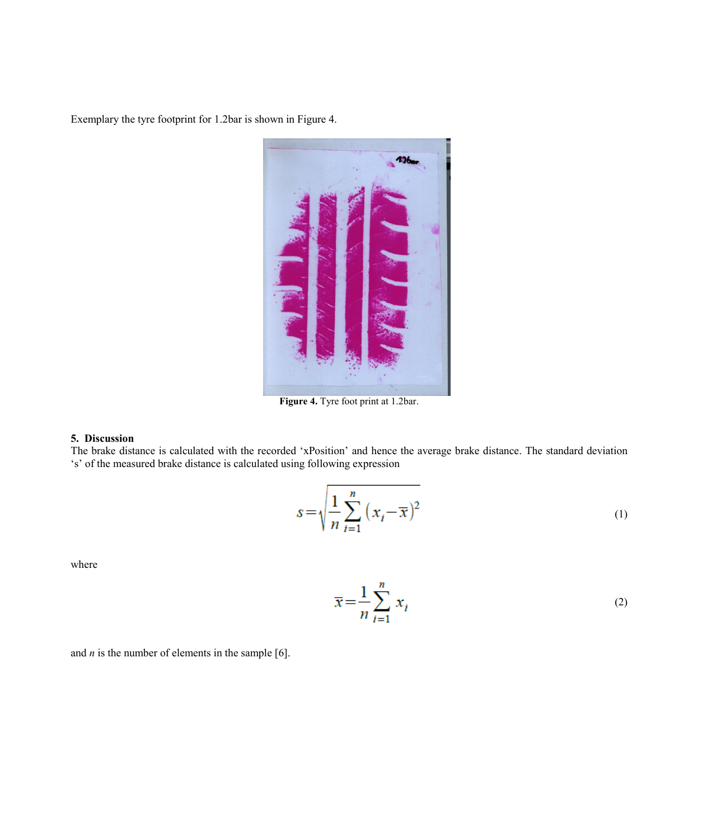Exemplary the tyre footprint for 1.2bar is shown in Figure 4.



**Figure 4.** Tyre foot print at 1.2bar.

#### **5. Discussion**

The brake distance is calculated with the recorded 'xPosition' and hence the average brake distance. The standard deviation 's' of the measured brake distance is calculated using following expression

$$
s = \sqrt{\frac{1}{n} \sum_{i=1}^{n} (x_i - \overline{x})^2}
$$
 (1)

where

$$
\overline{x} = \frac{1}{n} \sum_{i=1}^{n} x_i
$$
 (2)

and *n* is the number of elements in the sample [6].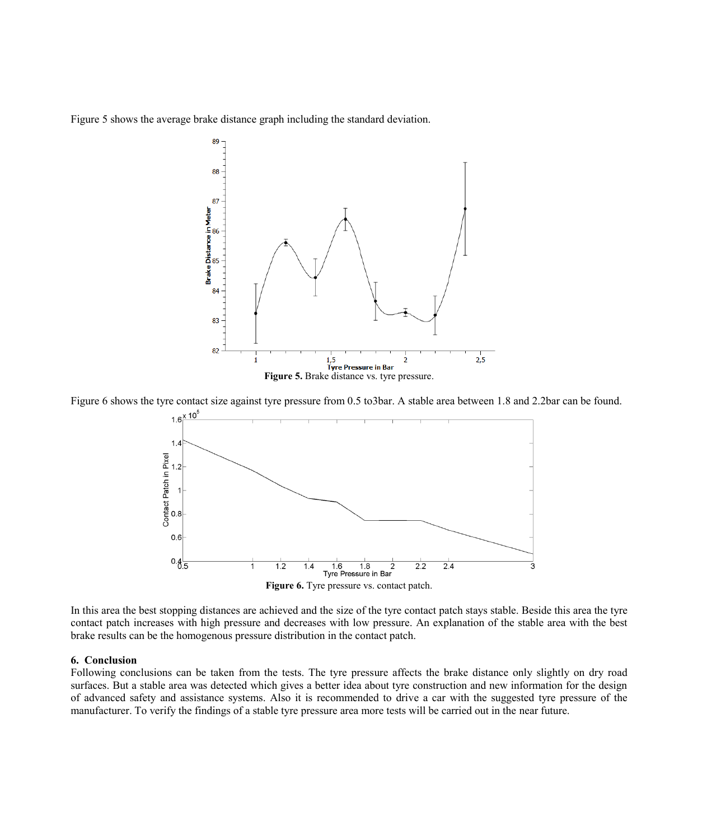Figure 5 shows the average brake distance graph including the standard deviation.



Figure 6 shows the tyre contact size against tyre pressure from 0.5 to3bar. A stable area between 1.8 and 2.2bar can be found.



In this area the best stopping distances are achieved and the size of the tyre contact patch stays stable. Beside this area the tyre contact patch increases with high pressure and decreases with low pressure. An explanation of the stable area with the best brake results can be the homogenous pressure distribution in the contact patch.

#### **6. Conclusion**

Following conclusions can be taken from the tests. The tyre pressure affects the brake distance only slightly on dry road surfaces. But a stable area was detected which gives a better idea about tyre construction and new information for the design of advanced safety and assistance systems. Also it is recommended to drive a car with the suggested tyre pressure of the manufacturer. To verify the findings of a stable tyre pressure area more tests will be carried out in the near future.